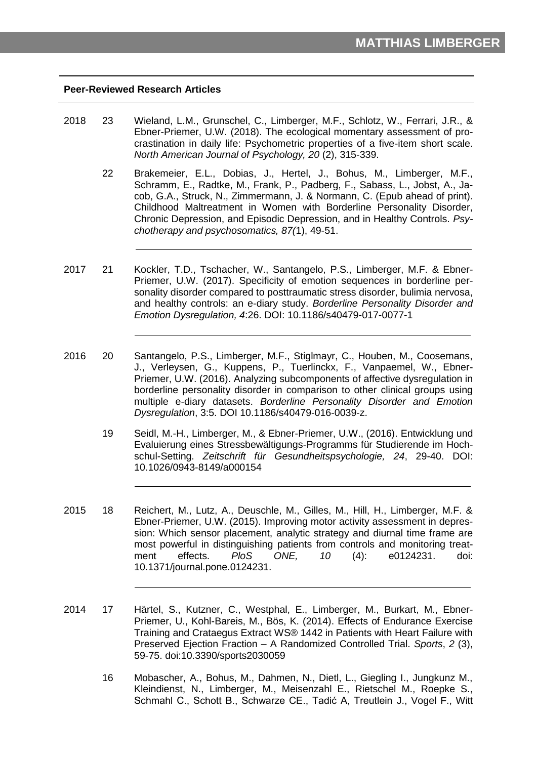## **Peer-Reviewed Research Articles**

- 2018 23 Wieland, L.M., Grunschel, C., Limberger, M.F., Schlotz, W., Ferrari, J.R., & Ebner-Priemer, U.W. (2018). The ecological momentary assessment of procrastination in daily life: Psychometric properties of a five-item short scale. *North American Journal of Psychology, 20* (2), 315-339.
	- 22 Brakemeier, E.L., Dobias, J., Hertel, J., Bohus, M., Limberger, M.F., Schramm, E., Radtke, M., Frank, P., Padberg, F., Sabass, L., Jobst, A., Jacob, G.A., Struck, N., Zimmermann, J. & Normann, C. (Epub ahead of print). Childhood Maltreatment in Women with Borderline Personality Disorder, Chronic Depression, and Episodic Depression, and in Healthy Controls. *Psychotherapy and psychosomatics, 87(*1), 49-51.
- 2017 21 Kockler, T.D., Tschacher, W., Santangelo, P.S., Limberger, M.F. & Ebner-Priemer, U.W. (2017). Specificity of emotion sequences in borderline personality disorder compared to posttraumatic stress disorder, bulimia nervosa, and healthy controls: an e-diary study. *Borderline Personality Disorder and Emotion Dysregulation, 4*:26. DOI: 10.1186/s40479-017-0077-1
- 2016 20 Santangelo, P.S., Limberger, M.F., Stiglmayr, C., Houben, M., Coosemans, J., Verleysen, G., Kuppens, P., Tuerlinckx, F., Vanpaemel, W., Ebner-Priemer, U.W. (2016). Analyzing subcomponents of affective dysregulation in borderline personality disorder in comparison to other clinical groups using multiple e-diary datasets. *Borderline Personality Disorder and Emotion Dysregulation*, 3:5. DOI 10.1186/s40479-016-0039-z.
	- 19 Seidl, M.-H., Limberger, M., & Ebner-Priemer, U.W., (2016). Entwicklung und Evaluierung eines Stressbewältigungs-Programms für Studierende im Hochschul-Setting. *Zeitschrift für Gesundheitspsychologie, 24*, 29-40. DOI: 10.1026/0943-8149/a000154
- 2015 18 Reichert, M., Lutz, A., Deuschle, M., Gilles, M., Hill, H., Limberger, M.F. & Ebner-Priemer, U.W. (2015). Improving motor activity assessment in depression: Which sensor placement, analytic strategy and diurnal time frame are most powerful in distinguishing patients from controls and monitoring treatment effects. *PloS ONE, 10* (4): e0124231. doi: 10.1371/journal.pone.0124231.
- 2014 17 Härtel, S., Kutzner, C., Westphal, E., Limberger, M., Burkart, M., Ebner-Priemer, U., Kohl-Bareis, M., Bös, K. (2014). Effects of Endurance Exercise Training and Crataegus Extract WS® 1442 in Patients with Heart Failure with Preserved Ejection Fraction – A Randomized Controlled Trial. *Sports*, *2* (3), 59-75. doi:10.3390/sports2030059
	- 16 Mobascher, A., Bohus, M., Dahmen, N., Dietl, L., Giegling I., Jungkunz M., Kleindienst, N., Limberger, M., Meisenzahl E., Rietschel M., Roepke S., Schmahl C., Schott B., Schwarze CE., Tadić A, Treutlein J., Vogel F., Witt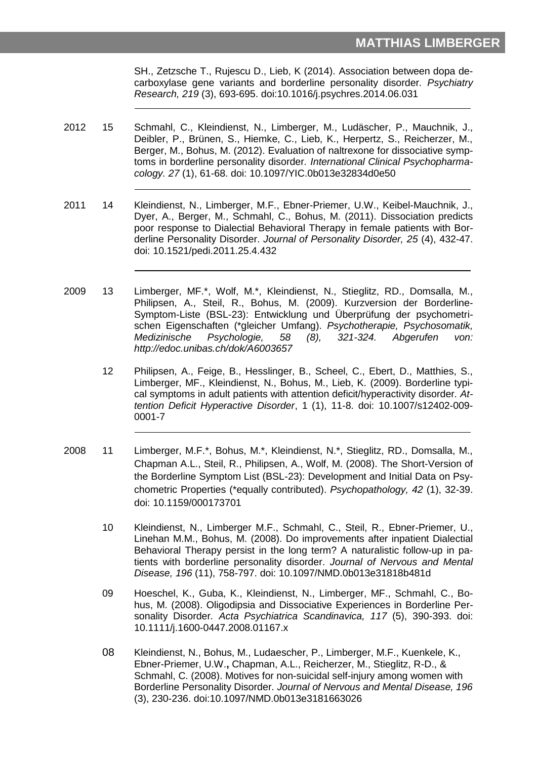SH., Zetzsche T., Rujescu D., Lieb, K (2014). Association between dopa decarboxylase gene variants and borderline personality disorder*. Psychiatry Research, 219* (3), 693-695. doi:10.1016/j.psychres.2014.06.031

- 2012 15 Schmahl, C., Kleindienst, N., Limberger, M., Ludäscher, P., Mauchnik, J., Deibler, P., Brünen, S., Hiemke, C., Lieb, K., Herpertz, S., Reicherzer, M., Berger, M., Bohus, M. (2012). Evaluation of naltrexone for dissociative symptoms in borderline personality disorder*. International Clinical Psychopharmacology. 27* (1), 61-68. doi: 10.1097/YIC.0b013e32834d0e50
- 2011 14 Kleindienst, N., Limberger, M.F., Ebner-Priemer, U.W., Keibel-Mauchnik, J., Dyer, A., Berger, M., Schmahl, C., Bohus, M. (2011). Dissociation predicts poor response to Dialectial Behavioral Therapy in female patients with Borderline Personality Disorder. *Journal of Personality Disorder, 25* (4), 432-47. doi: 10.1521/pedi.2011.25.4.432
- 2009 13 Limberger, MF.\*, Wolf, M.\*, Kleindienst, N., Stieglitz, RD., Domsalla, M., Philipsen, A., Steil, R., Bohus, M. (2009). Kurzversion der Borderline-Symptom-Liste (BSL-23): Entwicklung und Überprüfung der psychometrischen Eigenschaften (\*gleicher Umfang). *Psychotherapie, Psychosomatik, Medizinische Psychologie, 58 (8), 321-324. Abgerufen von: http://edoc.unibas.ch/dok/A6003657*
	- 12 Philipsen, A., Feige, B., Hesslinger, B., Scheel, C., Ebert, D., Matthies, S., Limberger, MF., Kleindienst, N., Bohus, M., Lieb, K. (2009). Borderline typical symptoms in adult patients with attention deficit/hyperactivity disorder*. Attention Deficit Hyperactive Disorder*, 1 (1), 11-8. doi: 10.1007/s12402-009- 0001-7
- 2008 11 Limberger, M.F.\*, Bohus, M.\*, Kleindienst, N.\*, Stieglitz, RD., Domsalla, M., Chapman A.L., Steil, R., Philipsen, A., Wolf, M. (2008). The Short-Version of the Borderline Symptom List (BSL-23): Development and Initial Data on Psychometric Properties (\*equally contributed). *Psychopathology, 42* (1), 32-39. doi: 10.1159/000173701
	- 10 Kleindienst, N., Limberger M.F., Schmahl, C., Steil, R., Ebner-Priemer, U., Linehan M.M., Bohus, M. (2008). Do improvements after inpatient Dialectial Behavioral Therapy persist in the long term? A naturalistic follow-up in patients with borderline personality disorder. *Journal of Nervous and Mental Disease, 196* (11), 758-797. doi: 10.1097/NMD.0b013e31818b481d
	- 09 Hoeschel, K., Guba, K., Kleindienst, N., Limberger, MF., Schmahl, C., Bohus, M. (2008). Oligodipsia and Dissociative Experiences in Borderline Personality Disorder*. Acta Psychiatrica Scandinavica, 117* (5), 390-393. doi: 10.1111/j.1600-0447.2008.01167.x
	- 08 Kleindienst, N., Bohus, M., Ludaescher, P., Limberger, M.F., Kuenkele, K., Ebner-Priemer, U.W.**,** Chapman, A.L., Reicherzer, M., Stieglitz, R-D., & Schmahl, C. (2008). Motives for non-suicidal self-injury among women with Borderline Personality Disorder. *Journal of Nervous and Mental Disease, 196* (3), 230-236. doi:10.1097/NMD.0b013e3181663026